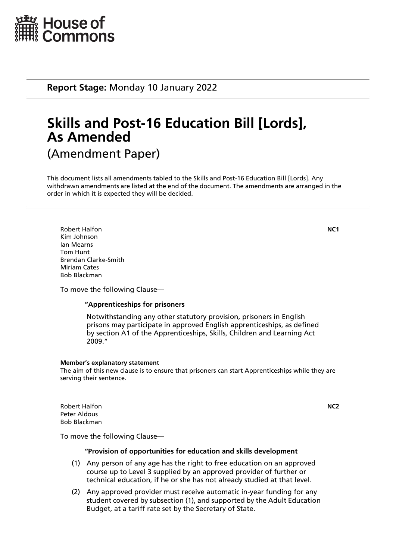

**Report Stage:** Monday 10 January 2022

# **Skills and Post-16 Education Bill [Lords], As Amended** (Amendment Paper)

This document lists all amendments tabled to the Skills and Post-16 Education Bill [Lords]. Any withdrawn amendments are listed at the end of the document. The amendments are arranged in the order in which it is expected they will be decided.

Robert Halfon **NC1** Kim Johnson Ian Mearns Tom Hunt Brendan Clarke-Smith Miriam Cates Bob Blackman

To move the following Clause—

# **"Apprenticeships for prisoners**

 Notwithstanding any other statutory provision, prisoners in English prisons may participate in approved English apprenticeships, as defined by section A1 of the Apprenticeships, Skills, Children and Learning Act 2009."

### **Member's explanatory statement**

The aim of this new clause is to ensure that prisoners can start Apprenticeships while they are serving their sentence.

Robert Halfon **NC2** Peter Aldous Bob Blackman

To move the following Clause—

### **"Provision of opportunities for education and skills development**

- (1) Any person of any age has the right to free education on an approved course up to Level 3 supplied by an approved provider of further or technical education, if he or she has not already studied at that level.
- (2) Any approved provider must receive automatic in-year funding for any student covered by subsection (1), and supported by the Adult Education Budget, at a tariff rate set by the Secretary of State.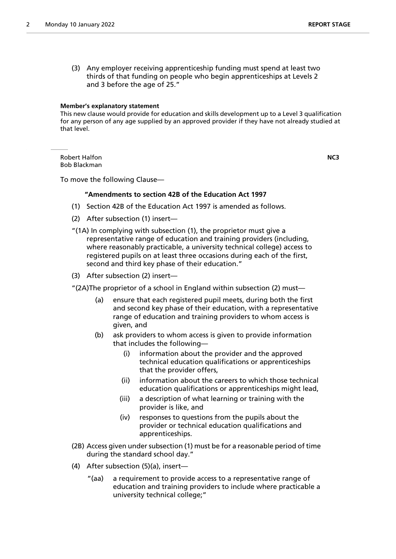(3) Any employer receiving apprenticeship funding must spend at least two thirds of that funding on people who begin apprenticeships at Levels 2 and 3 before the age of 25."

#### **Member's explanatory statement**

This new clause would provide for education and skills development up to a Level 3 qualification for any person of any age supplied by an approved provider if they have not already studied at that level.

Robert Halfon **NC3** Bob Blackman

To move the following Clause—

### **"Amendments to section 42B of the Education Act 1997**

- (1) Section 42B of the Education Act 1997 is amended as follows.
- (2) After subsection (1) insert—
- "(1A) In complying with subsection (1), the proprietor must give a representative range of education and training providers (including, where reasonably practicable, a university technical college) access to registered pupils on at least three occasions during each of the first, second and third key phase of their education."
- (3) After subsection (2) insert—

"(2A)The proprietor of a school in England within subsection (2) must—

- (a) ensure that each registered pupil meets, during both the first and second key phase of their education, with a representative range of education and training providers to whom access is given, and
- (b) ask providers to whom access is given to provide information that includes the following—
	- (i) information about the provider and the approved technical education qualifications or apprenticeships that the provider offers,
	- (ii) information about the careers to which those technical education qualifications or apprenticeships might lead,
	- (iii) a description of what learning or training with the provider is like, and
	- (iv) responses to questions from the pupils about the provider or technical education qualifications and apprenticeships.
- (2B) Access given under subsection (1) must be for a reasonable period of time during the standard school day."
- (4) After subsection (5)(a), insert—
	- "(aa) a requirement to provide access to a representative range of education and training providers to include where practicable a university technical college;"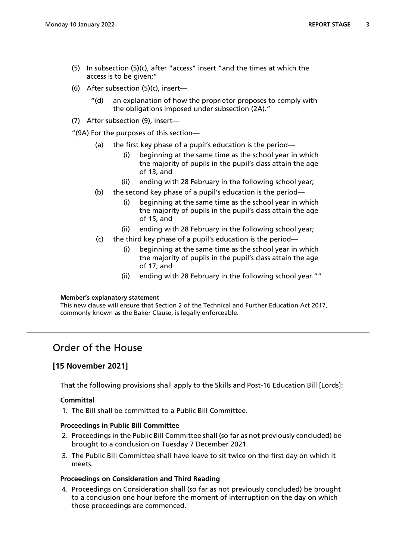- (5) In subsection (5)(c), after "access" insert "and the times at which the access is to be given;"
- (6) After subsection (5)(c), insert—
	- "(d) an explanation of how the proprietor proposes to comply with the obligations imposed under subsection (2A)."
- (7) After subsection (9), insert—

"(9A) For the purposes of this section—

- (a) the first key phase of a pupil's education is the period
	- beginning at the same time as the school year in which the majority of pupils in the pupil's class attain the age of 13, and
	- (ii) ending with 28 February in the following school year;
- (b) the second key phase of a pupil's education is the period—
	- (i) beginning at the same time as the school year in which the majority of pupils in the pupil's class attain the age of 15, and
	- (ii) ending with 28 February in the following school year;
- (c) the third key phase of a pupil's education is the period
	- beginning at the same time as the school year in which the majority of pupils in the pupil's class attain the age of 17, and
	- (ii) ending with 28 February in the following school year.""

### **Member's explanatory statement**

This new clause will ensure that Section 2 of the Technical and Further Education Act 2017, commonly known as the Baker Clause, is legally enforceable.

# Order of the House

# **[15 November 2021]**

That the following provisions shall apply to the Skills and Post-16 Education Bill [Lords]:

# **Committal**

1. The Bill shall be committed to a Public Bill Committee.

# **Proceedings in Public Bill Committee**

- 2. Proceedings in the Public Bill Committee shall (so far as not previously concluded) be brought to a conclusion on Tuesday 7 December 2021.
- 3. The Public Bill Committee shall have leave to sit twice on the first day on which it meets.

# **Proceedings on Consideration and Third Reading**

4. Proceedings on Consideration shall (so far as not previously concluded) be brought to a conclusion one hour before the moment of interruption on the day on which those proceedings are commenced.